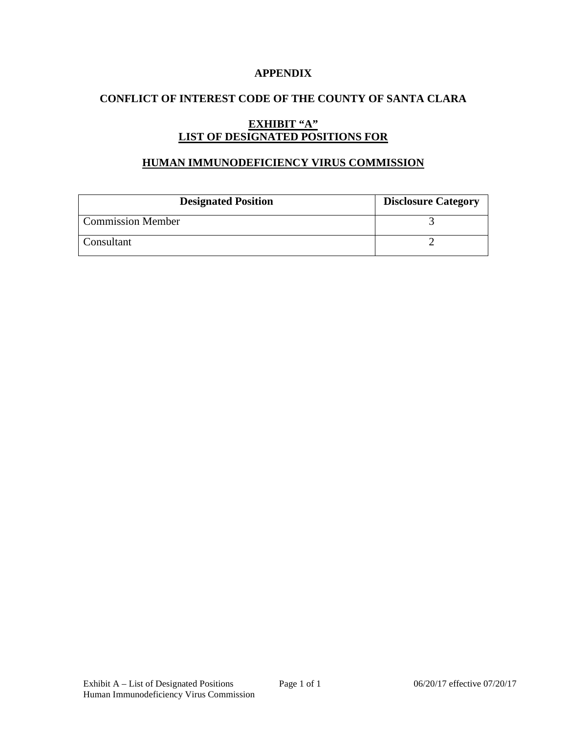### **APPENDIX**

## **CONFLICT OF INTEREST CODE OF THE COUNTY OF SANTA CLARA**

# **EXHIBIT "A" LIST OF DESIGNATED POSITIONS FOR**

#### **HUMAN IMMUNODEFICIENCY VIRUS COMMISSION**

| <b>Designated Position</b> | <b>Disclosure Category</b> |
|----------------------------|----------------------------|
| <b>Commission Member</b>   |                            |
| Consultant                 |                            |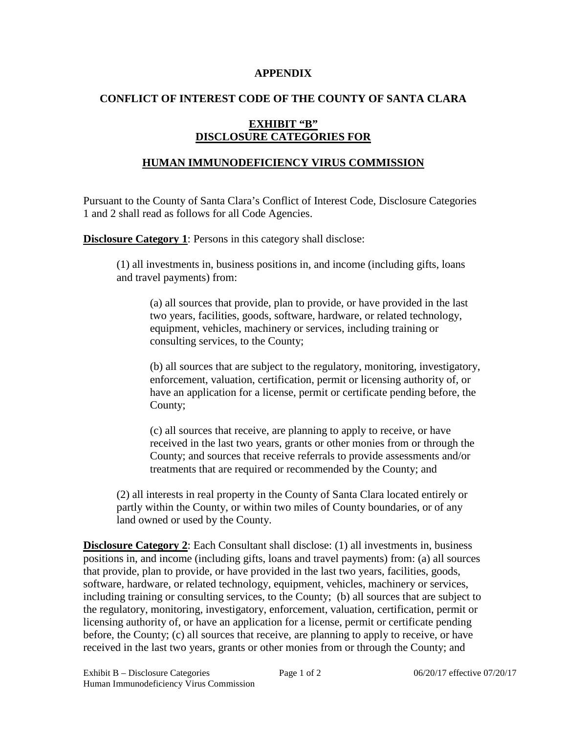#### **APPENDIX**

## **CONFLICT OF INTEREST CODE OF THE COUNTY OF SANTA CLARA**

# **EXHIBIT "B" DISCLOSURE CATEGORIES FOR**

# **HUMAN IMMUNODEFICIENCY VIRUS COMMISSION**

Pursuant to the County of Santa Clara's Conflict of Interest Code, Disclosure Categories 1 and 2 shall read as follows for all Code Agencies.

**Disclosure Category 1:** Persons in this category shall disclose:

(1) all investments in, business positions in, and income (including gifts, loans and travel payments) from:

(a) all sources that provide, plan to provide, or have provided in the last two years, facilities, goods, software, hardware, or related technology, equipment, vehicles, machinery or services, including training or consulting services, to the County;

(b) all sources that are subject to the regulatory, monitoring, investigatory, enforcement, valuation, certification, permit or licensing authority of, or have an application for a license, permit or certificate pending before, the County;

(c) all sources that receive, are planning to apply to receive, or have received in the last two years, grants or other monies from or through the County; and sources that receive referrals to provide assessments and/or treatments that are required or recommended by the County; and

(2) all interests in real property in the County of Santa Clara located entirely or partly within the County, or within two miles of County boundaries, or of any land owned or used by the County.

**Disclosure Category 2:** Each Consultant shall disclose: (1) all investments in, business positions in, and income (including gifts, loans and travel payments) from: (a) all sources that provide, plan to provide, or have provided in the last two years, facilities, goods, software, hardware, or related technology, equipment, vehicles, machinery or services, including training or consulting services, to the County; (b) all sources that are subject to the regulatory, monitoring, investigatory, enforcement, valuation, certification, permit or licensing authority of, or have an application for a license, permit or certificate pending before, the County; (c) all sources that receive, are planning to apply to receive, or have received in the last two years, grants or other monies from or through the County; and